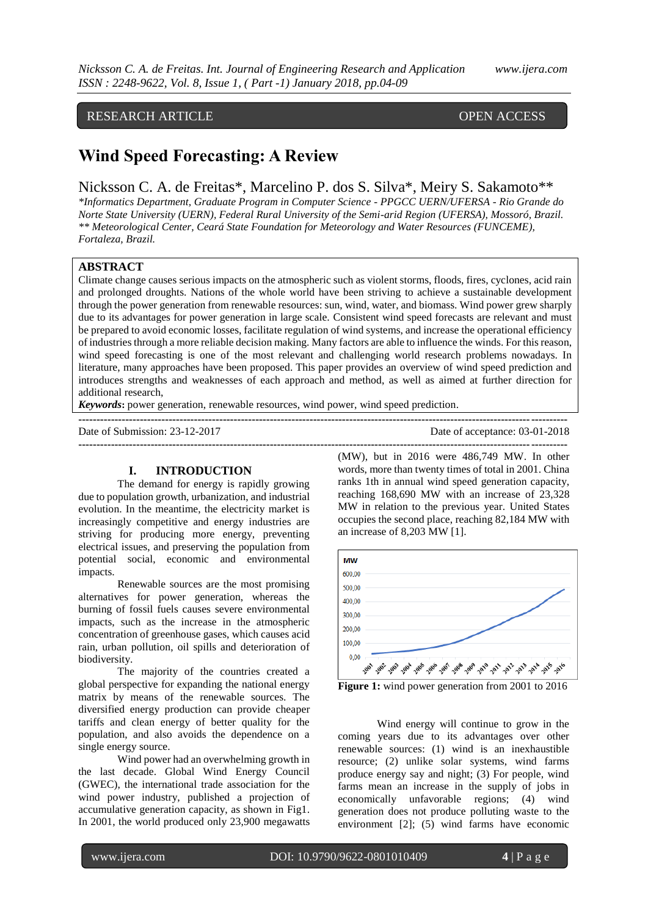# RESEARCH ARTICLE OPEN ACCESS

# **Wind Speed Forecasting: A Review**

Nicksson C. A. de Freitas\*, Marcelino P. dos S. Silva\*, Meiry S. Sakamoto\*\*

*\*Informatics Department, Graduate Program in Computer Science - PPGCC UERN/UFERSA - Rio Grande do Norte State University (UERN), Federal Rural University of the Semi-arid Region (UFERSA), Mossoró, Brazil. \*\* Meteorological Center, Ceará State Foundation for Meteorology and Water Resources (FUNCEME), Fortaleza, Brazil.* 

# **ABSTRACT**

Climate change causes serious impacts on the atmospheric such as violent storms, floods, fires, cyclones, acid rain and prolonged droughts. Nations of the whole world have been striving to achieve a sustainable development through the power generation from renewable resources: sun, wind, water, and biomass. Wind power grew sharply due to its advantages for power generation in large scale. Consistent wind speed forecasts are relevant and must be prepared to avoid economic losses, facilitate regulation of wind systems, and increase the operational efficiency of industries through a more reliable decision making. Many factors are able to influence the winds. For this reason, wind speed forecasting is one of the most relevant and challenging world research problems nowadays. In literature, many approaches have been proposed. This paper provides an overview of wind speed prediction and introduces strengths and weaknesses of each approach and method, as well as aimed at further direction for additional research,

**---------------------------------------------------------------------------------------------------------------------------------------**

*Keywords***:** power generation, renewable resources, wind power, wind speed prediction.

Date of Submission: 23-12-2017 Date of acceptance: 03-01-2018

#### **I. INTRODUCTION**

The demand for energy is rapidly growing due to population growth, urbanization, and industrial evolution. In the meantime, the electricity market is increasingly competitive and energy industries are striving for producing more energy, preventing electrical issues, and preserving the population from potential social, economic and environmental impacts.

Renewable sources are the most promising alternatives for power generation, whereas the burning of fossil fuels causes severe environmental impacts, such as the increase in the atmospheric concentration of greenhouse gases, which causes acid rain, urban pollution, oil spills and deterioration of biodiversity.

The majority of the countries created a global perspective for expanding the national energy matrix by means of the renewable sources. The diversified energy production can provide cheaper tariffs and clean energy of better quality for the population, and also avoids the dependence on a single energy source.

Wind power had an overwhelming growth in the last decade. Global Wind Energy Council (GWEC), the international trade association for the wind power industry, published a projection of accumulative generation capacity, as shown in Fig1. In 2001, the world produced only 23,900 megawatts

**---------------------------------------------------------------------------------------------------------------------------------------** (MW), but in 2016 were 486,749 MW. In other words, more than twenty times of total in 2001. China ranks 1th in annual wind speed generation capacity, reaching 168,690 MW with an increase of 23,328 MW in relation to the previous year. United States occupies the second place, reaching 82,184 MW with an increase of 8,203 MW [1].



**Figure 1:** wind power generation from 2001 to 2016

Wind energy will continue to grow in the coming years due to its advantages over other renewable sources: (1) wind is an inexhaustible resource; (2) unlike solar systems, wind farms produce energy say and night; (3) For people, wind farms mean an increase in the supply of jobs in economically unfavorable regions; (4) wind generation does not produce polluting waste to the environment [2]; (5) wind farms have economic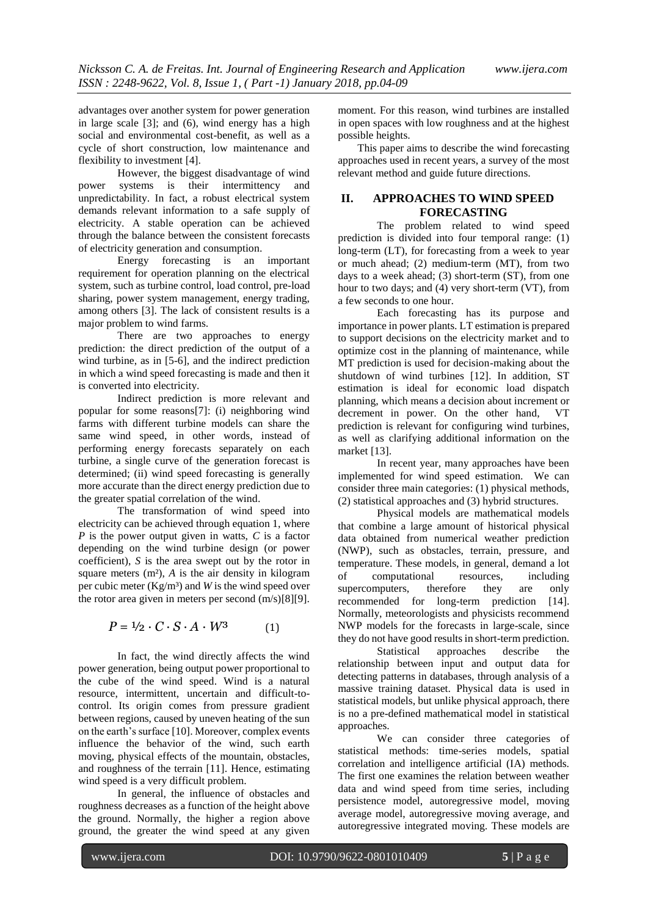advantages over another system for power generation in large scale [3]; and (6), wind energy has a high social and environmental cost-benefit, as well as a cycle of short construction, low maintenance and flexibility to investment [4].

However, the biggest disadvantage of wind power systems is their intermittency and unpredictability. In fact, a robust electrical system demands relevant information to a safe supply of electricity. A stable operation can be achieved through the balance between the consistent forecasts of electricity generation and consumption.

Energy forecasting is an important requirement for operation planning on the electrical system, such as turbine control, load control, pre-load sharing, power system management, energy trading, among others [3]. The lack of consistent results is a major problem to wind farms.

There are two approaches to energy prediction: the direct prediction of the output of a wind turbine, as in [5-6], and the indirect prediction in which a wind speed forecasting is made and then it is converted into electricity.

Indirect prediction is more relevant and popular for some reasons[7]: (i) neighboring wind farms with different turbine models can share the same wind speed, in other words, instead of performing energy forecasts separately on each turbine, a single curve of the generation forecast is determined; (ii) wind speed forecasting is generally more accurate than the direct energy prediction due to the greater spatial correlation of the wind.

The transformation of wind speed into electricity can be achieved through equation 1, where *P* is the power output given in watts, *C* is a factor depending on the wind turbine design (or power coefficient), *S* is the area swept out by the rotor in square meters (m²), *A* is the air density in kilogram per cubic meter (Kg/m³) and *W* is the wind speed over the rotor area given in meters per second (m/s)[8][9].

$$
P = \frac{1}{2} \cdot C \cdot S \cdot A \cdot W^3 \tag{1}
$$

In fact, the wind directly affects the wind power generation, being output power proportional to the cube of the wind speed. Wind is a natural resource, intermittent, uncertain and difficult-tocontrol. Its origin comes from pressure gradient between regions, caused by uneven heating of the sun on the earth's surface [10]. Moreover, complex events influence the behavior of the wind, such earth moving, physical effects of the mountain, obstacles, and roughness of the terrain [11]. Hence, estimating wind speed is a very difficult problem.

In general, the influence of obstacles and roughness decreases as a function of the height above the ground. Normally, the higher a region above ground, the greater the wind speed at any given

moment. For this reason, wind turbines are installed in open spaces with low roughness and at the highest possible heights.

This paper aims to describe the wind forecasting approaches used in recent years, a survey of the most relevant method and guide future directions.

# **II. APPROACHES TO WIND SPEED FORECASTING**

The problem related to wind speed prediction is divided into four temporal range: (1) long-term (LT), for forecasting from a week to year or much ahead; (2) medium-term (MT), from two days to a week ahead; (3) short-term (ST), from one hour to two days; and (4) very short-term (VT), from a few seconds to one hour.

Each forecasting has its purpose and importance in power plants. LT estimation is prepared to support decisions on the electricity market and to optimize cost in the planning of maintenance, while MT prediction is used for decision-making about the shutdown of wind turbines [12]. In addition, ST estimation is ideal for economic load dispatch planning, which means a decision about increment or decrement in power. On the other hand, VT prediction is relevant for configuring wind turbines, as well as clarifying additional information on the market [13].

In recent year, many approaches have been implemented for wind speed estimation. We can consider three main categories: (1) physical methods, (2) statistical approaches and (3) hybrid structures.

Physical models are mathematical models that combine a large amount of historical physical data obtained from numerical weather prediction (NWP), such as obstacles, terrain, pressure, and temperature. These models, in general, demand a lot of computational resources, including supercomputers, therefore they are only recommended for long-term prediction [14]. Normally, meteorologists and physicists recommend NWP models for the forecasts in large-scale, since they do not have good results in short-term prediction.

Statistical approaches describe the relationship between input and output data for detecting patterns in databases, through analysis of a massive training dataset. Physical data is used in statistical models, but unlike physical approach, there is no a pre-defined mathematical model in statistical approaches.

We can consider three categories of statistical methods: time-series models, spatial correlation and intelligence artificial (IA) methods. The first one examines the relation between weather data and wind speed from time series, including persistence model, autoregressive model, moving average model, autoregressive moving average, and autoregressive integrated moving. These models are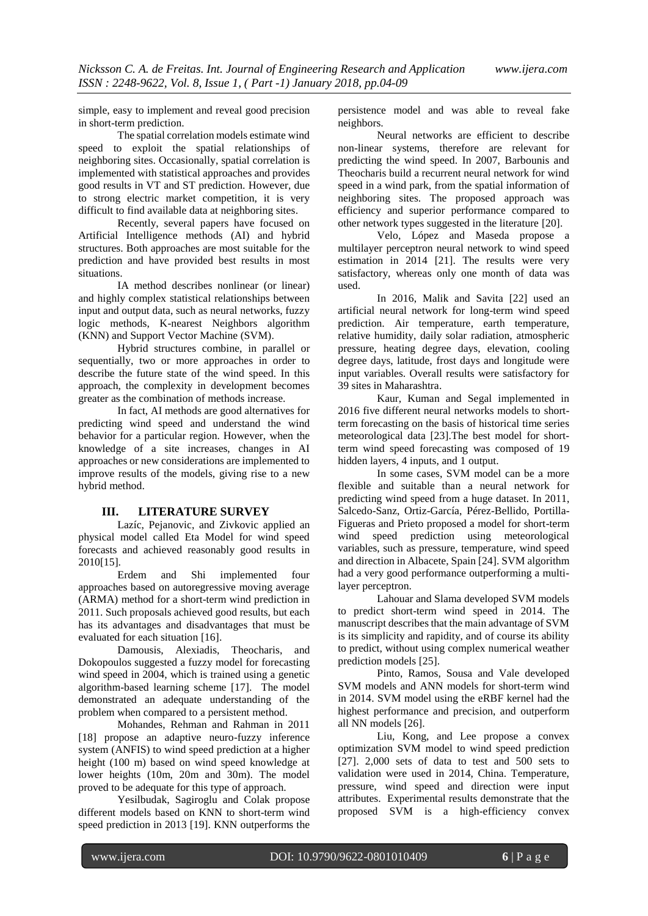simple, easy to implement and reveal good precision in short-term prediction.

The spatial correlation models estimate wind speed to exploit the spatial relationships of neighboring sites. Occasionally, spatial correlation is implemented with statistical approaches and provides good results in VT and ST prediction. However, due to strong electric market competition, it is very difficult to find available data at neighboring sites.

Recently, several papers have focused on Artificial Intelligence methods (AI) and hybrid structures. Both approaches are most suitable for the prediction and have provided best results in most situations.

IA method describes nonlinear (or linear) and highly complex statistical relationships between input and output data, such as neural networks, fuzzy logic methods, K-nearest Neighbors algorithm (KNN) and Support Vector Machine (SVM).

Hybrid structures combine, in parallel or sequentially, two or more approaches in order to describe the future state of the wind speed. In this approach, the complexity in development becomes greater as the combination of methods increase.

In fact, AI methods are good alternatives for predicting wind speed and understand the wind behavior for a particular region. However, when the knowledge of a site increases, changes in AI approaches or new considerations are implemented to improve results of the models, giving rise to a new hybrid method.

#### **III. LITERATURE SURVEY**

Lazíc, Pejanovic, and Zivkovic applied an physical model called Eta Model for wind speed forecasts and achieved reasonably good results in 2010[15].

Erdem and Shi implemented four approaches based on autoregressive moving average (ARMA) method for a short-term wind prediction in 2011. Such proposals achieved good results, but each has its advantages and disadvantages that must be evaluated for each situation [16].

Damousis, Alexiadis, Theocharis, and Dokopoulos suggested a fuzzy model for forecasting wind speed in 2004, which is trained using a genetic algorithm-based learning scheme [17]. The model demonstrated an adequate understanding of the problem when compared to a persistent method.

Mohandes, Rehman and Rahman in 2011 [18] propose an adaptive neuro-fuzzy inference system (ANFIS) to wind speed prediction at a higher height (100 m) based on wind speed knowledge at lower heights (10m, 20m and 30m). The model proved to be adequate for this type of approach.

Yesilbudak, Sagiroglu and Colak propose different models based on KNN to short-term wind speed prediction in 2013 [19]. KNN outperforms the persistence model and was able to reveal fake neighbors.

Neural networks are efficient to describe non-linear systems, therefore are relevant for predicting the wind speed. In 2007, Barbounis and Theocharis build a recurrent neural network for wind speed in a wind park, from the spatial information of neighboring sites. The proposed approach was efficiency and superior performance compared to other network types suggested in the literature [20].

Velo, López and Maseda propose a multilayer perceptron neural network to wind speed estimation in 2014 [21]. The results were very satisfactory, whereas only one month of data was used.

In 2016, Malik and Savita [22] used an artificial neural network for long-term wind speed prediction. Air temperature, earth temperature, relative humidity, daily solar radiation, atmospheric pressure, heating degree days, elevation, cooling degree days, latitude, frost days and longitude were input variables. Overall results were satisfactory for 39 sites in Maharashtra.

Kaur, Kuman and Segal implemented in 2016 five different neural networks models to shortterm forecasting on the basis of historical time series meteorological data [23].The best model for shortterm wind speed forecasting was composed of 19 hidden layers, 4 inputs, and 1 output.

In some cases, SVM model can be a more flexible and suitable than a neural network for predicting wind speed from a huge dataset. In 2011, Salcedo-Sanz, Ortiz-García, Pérez-Bellido, Portilla-Figueras and Prieto proposed a model for short-term wind speed prediction using meteorological variables, such as pressure, temperature, wind speed and direction in Albacete, Spain [24]. SVM algorithm had a very good performance outperforming a multilayer perceptron.

Lahouar and Slama developed SVM models to predict short-term wind speed in 2014. The manuscript describes that the main advantage of SVM is its simplicity and rapidity, and of course its ability to predict, without using complex numerical weather prediction models [25].

Pinto, Ramos, Sousa and Vale developed SVM models and ANN models for short-term wind in 2014. SVM model using the eRBF kernel had the highest performance and precision, and outperform all NN models [26].

Liu, Kong, and Lee propose a convex optimization SVM model to wind speed prediction [27]. 2,000 sets of data to test and 500 sets to validation were used in 2014, China. Temperature, pressure, wind speed and direction were input attributes. Experimental results demonstrate that the proposed SVM is a high-efficiency convex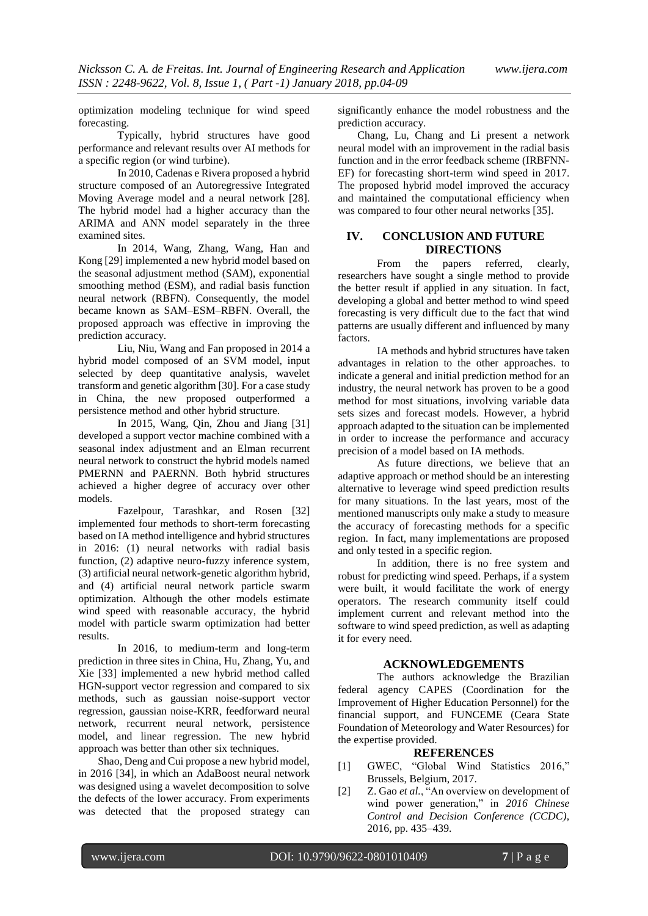optimization modeling technique for wind speed forecasting.

Typically, hybrid structures have good performance and relevant results over AI methods for a specific region (or wind turbine).

In 2010, Cadenas e Rivera proposed a hybrid structure composed of an Autoregressive Integrated Moving Average model and a neural network [28]. The hybrid model had a higher accuracy than the ARIMA and ANN model separately in the three examined sites.

In 2014, Wang, Zhang, Wang, Han and Kong [29] implemented a new hybrid model based on the seasonal adjustment method (SAM), exponential smoothing method (ESM), and radial basis function neural network (RBFN). Consequently, the model became known as SAM–ESM–RBFN. Overall, the proposed approach was effective in improving the prediction accuracy.

Liu, Niu, Wang and Fan proposed in 2014 a hybrid model composed of an SVM model, input selected by deep quantitative analysis, wavelet transform and genetic algorithm [30]. For a case study in China, the new proposed outperformed a persistence method and other hybrid structure.

In 2015, Wang, Qin, Zhou and Jiang [31] developed a support vector machine combined with a seasonal index adjustment and an Elman recurrent neural network to construct the hybrid models named PMERNN and PAERNN. Both hybrid structures achieved a higher degree of accuracy over other models.

Fazelpour, Tarashkar, and Rosen [32] implemented four methods to short-term forecasting based on IA method intelligence and hybrid structures in 2016: (1) neural networks with radial basis function, (2) adaptive neuro-fuzzy inference system, (3) artificial neural network-genetic algorithm hybrid, and (4) artificial neural network particle swarm optimization. Although the other models estimate wind speed with reasonable accuracy, the hybrid model with particle swarm optimization had better results.

In 2016, to medium-term and long-term prediction in three sites in China, Hu, Zhang, Yu, and Xie [33] implemented a new hybrid method called HGN-support vector regression and compared to six methods, such as gaussian noise-support vector regression, gaussian noise-KRR, feedforward neural network, recurrent neural network, persistence model, and linear regression. The new hybrid approach was better than other six techniques.

Shao, Deng and Cui propose a new hybrid model, in 2016 [34], in which an AdaBoost neural network was designed using a wavelet decomposition to solve the defects of the lower accuracy. From experiments was detected that the proposed strategy can

significantly enhance the model robustness and the prediction accuracy.

Chang, Lu, Chang and Li present a network neural model with an improvement in the radial basis function and in the error feedback scheme (IRBFNN-EF) for forecasting short-term wind speed in 2017. The proposed hybrid model improved the accuracy and maintained the computational efficiency when was compared to four other neural networks [35].

### **IV. CONCLUSION AND FUTURE DIRECTIONS**

From the papers referred, clearly, researchers have sought a single method to provide the better result if applied in any situation. In fact, developing a global and better method to wind speed forecasting is very difficult due to the fact that wind patterns are usually different and influenced by many factors.

IA methods and hybrid structures have taken advantages in relation to the other approaches. to indicate a general and initial prediction method for an industry, the neural network has proven to be a good method for most situations, involving variable data sets sizes and forecast models. However, a hybrid approach adapted to the situation can be implemented in order to increase the performance and accuracy precision of a model based on IA methods.

As future directions, we believe that an adaptive approach or method should be an interesting alternative to leverage wind speed prediction results for many situations. In the last years, most of the mentioned manuscripts only make a study to measure the accuracy of forecasting methods for a specific region. In fact, many implementations are proposed and only tested in a specific region.

In addition, there is no free system and robust for predicting wind speed. Perhaps, if a system were built, it would facilitate the work of energy operators. The research community itself could implement current and relevant method into the software to wind speed prediction, as well as adapting it for every need.

### **ACKNOWLEDGEMENTS**

The authors acknowledge the Brazilian federal agency CAPES (Coordination for the Improvement of Higher Education Personnel) for the financial support, and FUNCEME (Ceara State Foundation of Meteorology and Water Resources) for the expertise provided.

#### **REFERENCES**

- [1] GWEC, "Global Wind Statistics 2016," Brussels, Belgium, 2017.
- [2] Z. Gao *et al.*, "An overview on development of wind power generation," in *2016 Chinese Control and Decision Conference (CCDC)*, 2016, pp. 435–439.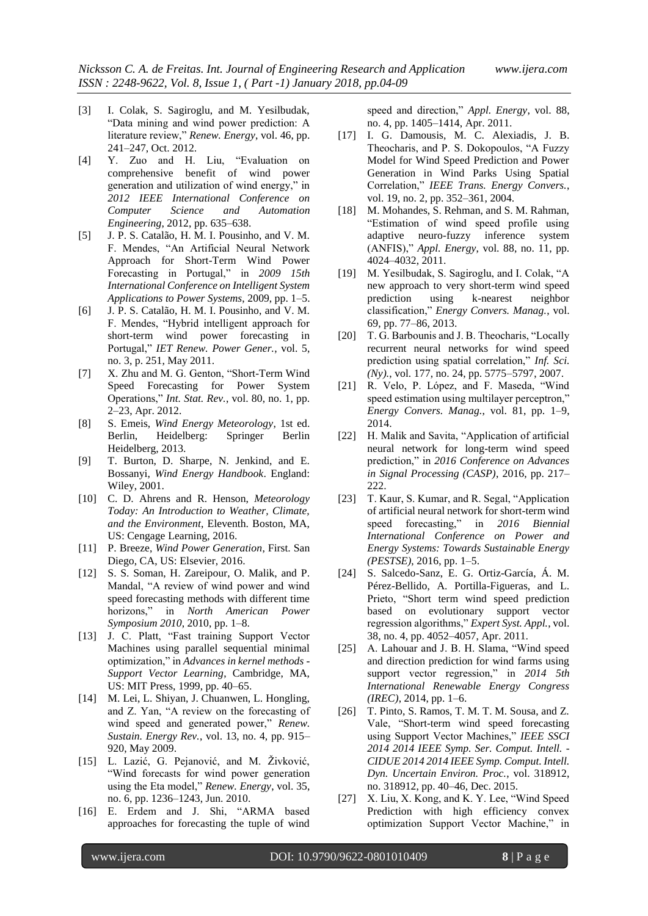- [3] I. Colak, S. Sagiroglu, and M. Yesilbudak, "Data mining and wind power prediction: A literature review," *Renew. Energy*, vol. 46, pp. 241–247, Oct. 2012.
- [4] Y. Zuo and H. Liu, "Evaluation on comprehensive benefit of wind power generation and utilization of wind energy," in *2012 IEEE International Conference on Computer Science and Automation Engineering*, 2012, pp. 635–638.
- [5] J. P. S. Catalão, H. M. I. Pousinho, and V. M. F. Mendes, "An Artificial Neural Network Approach for Short-Term Wind Power Forecasting in Portugal," in *2009 15th International Conference on Intelligent System Applications to Power Systems*, 2009, pp. 1–5.
- [6] J. P. S. Catalão, H. M. I. Pousinho, and V. M. F. Mendes, "Hybrid intelligent approach for short-term wind power forecasting in Portugal," *IET Renew. Power Gener.*, vol. 5, no. 3, p. 251, May 2011.
- [7] X. Zhu and M. G. Genton, "Short-Term Wind Speed Forecasting for Power System Operations," *Int. Stat. Rev.*, vol. 80, no. 1, pp. 2–23, Apr. 2012.
- [8] S. Emeis, *Wind Energy Meteorology*, 1st ed. Berlin, Heidelberg: Springer Berlin Heidelberg, 2013.
- [9] T. Burton, D. Sharpe, N. Jenkind, and E. Bossanyi, *Wind Energy Handbook*. England: Wiley, 2001.
- [10] C. D. Ahrens and R. Henson, *Meteorology Today: An Introduction to Weather, Climate, and the Environment*, Eleventh. Boston, MA, US: Cengage Learning, 2016.
- [11] P. Breeze, *Wind Power Generation*, First. San Diego, CA, US: Elsevier, 2016.
- [12] S. S. Soman, H. Zareipour, O. Malik, and P. Mandal, "A review of wind power and wind speed forecasting methods with different time horizons," in *North American Power Symposium 2010*, 2010, pp. 1–8.
- [13] J. C. Platt, "Fast training Support Vector Machines using parallel sequential minimal optimization," in *Advances in kernel methods - Support Vector Learning*, Cambridge, MA, US: MIT Press, 1999, pp. 40–65.
- [14] M. Lei, L. Shiyan, J. Chuanwen, L. Hongling, and Z. Yan, "A review on the forecasting of wind speed and generated power," *Renew. Sustain. Energy Rev.*, vol. 13, no. 4, pp. 915– 920, May 2009.
- [15] L. Lazić, G. Pejanović, and M. Živković, "Wind forecasts for wind power generation using the Eta model," *Renew. Energy*, vol. 35, no. 6, pp. 1236–1243, Jun. 2010.
- [16] E. Erdem and J. Shi, "ARMA based approaches for forecasting the tuple of wind

speed and direction," *Appl. Energy*, vol. 88, no. 4, pp. 1405–1414, Apr. 2011.

- [17] I. G. Damousis, M. C. Alexiadis, J. B. Theocharis, and P. S. Dokopoulos, "A Fuzzy Model for Wind Speed Prediction and Power Generation in Wind Parks Using Spatial Correlation," *IEEE Trans. Energy Convers.*, vol. 19, no. 2, pp. 352–361, 2004.
- [18] M. Mohandes, S. Rehman, and S. M. Rahman, "Estimation of wind speed profile using adaptive neuro-fuzzy inference system (ANFIS)," *Appl. Energy*, vol. 88, no. 11, pp. 4024–4032, 2011.
- [19] M. Yesilbudak, S. Sagiroglu, and I. Colak, "A new approach to very short-term wind speed prediction using k-nearest neighbor classification," *Energy Convers. Manag.*, vol. 69, pp. 77–86, 2013.
- [20] T. G. Barbounis and J. B. Theocharis, "Locally recurrent neural networks for wind speed prediction using spatial correlation," *Inf. Sci. (Ny).*, vol. 177, no. 24, pp. 5775–5797, 2007.
- [21] R. Velo, P. López, and F. Maseda, "Wind speed estimation using multilayer perceptron," *Energy Convers. Manag.*, vol. 81, pp. 1–9, 2014.
- [22] H. Malik and Savita, "Application of artificial neural network for long-term wind speed prediction," in *2016 Conference on Advances in Signal Processing (CASP)*, 2016, pp. 217– 222.
- [23] T. Kaur, S. Kumar, and R. Segal, "Application" of artificial neural network for short-term wind speed forecasting," in *2016 Biennial International Conference on Power and Energy Systems: Towards Sustainable Energy (PESTSE)*, 2016, pp. 1–5.
- [24] S. Salcedo-Sanz, E. G. Ortiz-García, Á. M. Pérez-Bellido, A. Portilla-Figueras, and L. Prieto, "Short term wind speed prediction based on evolutionary support vector regression algorithms," *Expert Syst. Appl.*, vol. 38, no. 4, pp. 4052–4057, Apr. 2011.
- [25] A. Lahouar and J. B. H. Slama, "Wind speed and direction prediction for wind farms using support vector regression," in *2014 5th International Renewable Energy Congress (IREC)*, 2014, pp. 1–6.
- [26] T. Pinto, S. Ramos, T. M. T. M. Sousa, and Z. Vale, "Short-term wind speed forecasting using Support Vector Machines," *IEEE SSCI 2014 2014 IEEE Symp. Ser. Comput. Intell. - CIDUE 2014 2014 IEEE Symp. Comput. Intell. Dyn. Uncertain Environ. Proc.*, vol. 318912, no. 318912, pp. 40–46, Dec. 2015.
- [27] X. Liu, X. Kong, and K. Y. Lee, "Wind Speed Prediction with high efficiency convex optimization Support Vector Machine," in